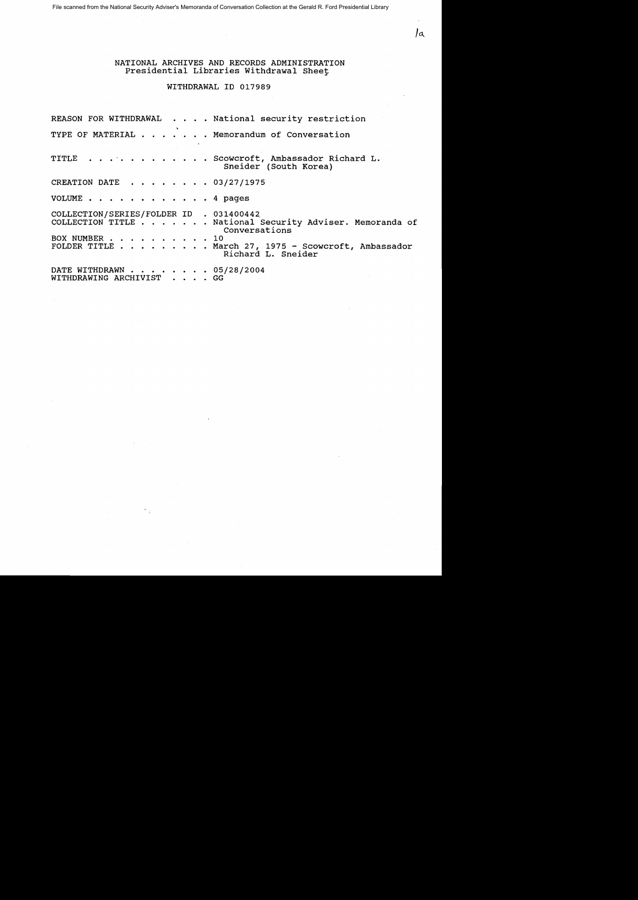File scanned from the National Security Adviser's Memoranda of Conversation Collection at the Gerald R. Ford Presidential Library

NATIONAL ARCHIVES AND RECORDS ADMINISTRATION Presidential Libraries Withdrawal Sheet

 $\int_{a}$ 

## WITHDRAWAL ID 017989

REASON FOR WITHDRAWAL . . . . National security restriction TYPE OF MATERIAL . . . . . . Memorandum of Conversation TITLE . . . . . . . . . . . Scowcroft, Ambassador Richard L. Sneider (South Korea) CREATION DATE ........ 03/27/1975 VOLUME . . . . . . . . . 4 pages COLLECTION/SERIES/FOLDER ID . 031400442 COLLECTION TITLE . . . . . . · National Security Adviser. Memoranda of Conversations<br>10 BOX NUMBER . . . . . .<br>FOLDER TITLE . . . . . FOLDER TITLE . . . . . . . . March 27, 1975 - Scowcroft, Ambassador Richard L. Sneider DATE WITHDRAWN . . . . . . . . 05/28/2004 WITHDRAWING ARCHIVIST . . . . GG

 $\epsilon_{\pm}$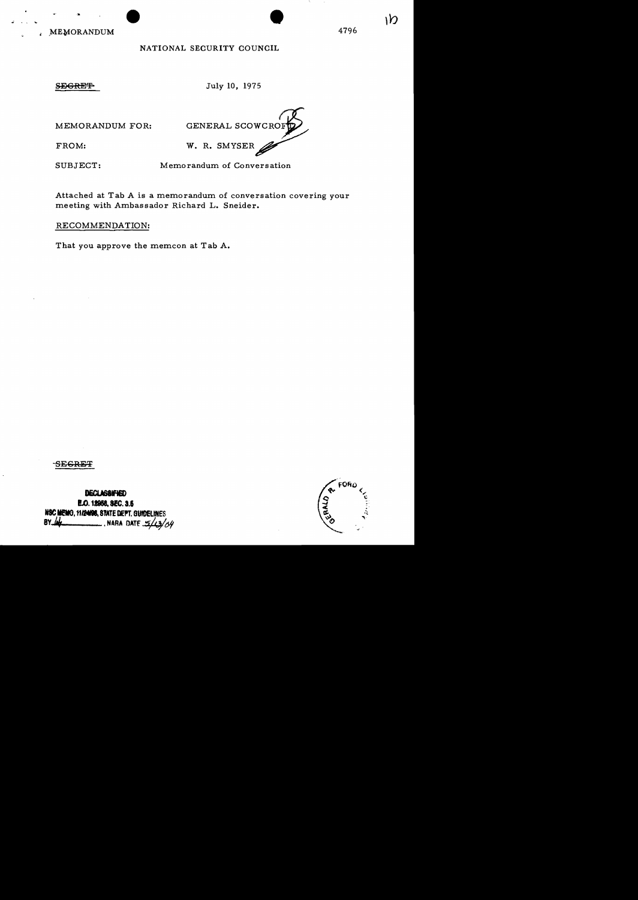MEMORANDUM 4796

## NATIONAL SECURITY COUNCIL

SEGRET July 10, 1975

MEMORANDUM FOR: GENERAL SCOWCRO FROM: W. R. SMYSER

SUBJECT: Memorandum of Conversation

Attached at Tab A is a memorandum of conversation covering your meeting with Ambassador Richard L. Sneider.

RECOMMENDATION:

That you approve the memcon at Tab A.

-SECRET

DECLASSIFIED E.O. 12968, SEC. 3.5 NSC MEMO, 11/24/98, STATE DEPT. GUIDELINES<br>BY 44